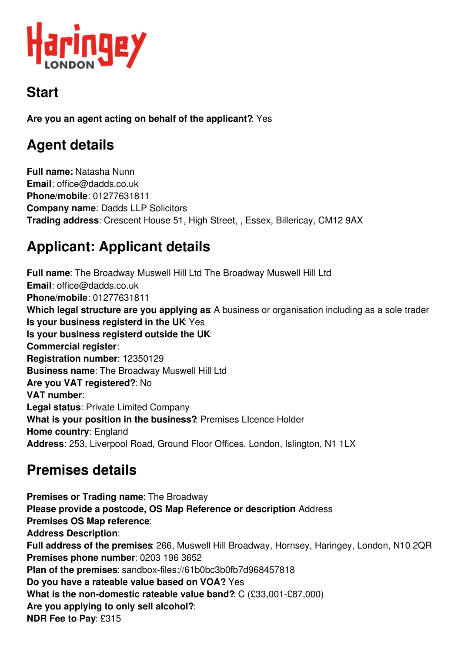

# **Start**

**Are you an agent acting on behalf of the applicant?**: Yes

# **Agent details**

**Full name:** Natasha Nunn **Email**: office@dadds.co.uk **Phone/mobile**: 01277631811 **Company name**: Dadds LLP Solicitors **Trading address**: Crescent House 51, High Street, , Essex, Billericay, CM12 9AX

# **Applicant: Applicant details**

**Full name**: The Broadway Muswell Hill Ltd The Broadway Muswell Hill Ltd **Email**: office@dadds.co.uk **Phone/mobile**: 01277631811 **Which legal structure are you applying as**: A business or organisation including as a sole trader **Is your business registerd in the UK**: Yes **Is your business registerd outside the UK**: **Commercial register**: **Registration number**: 12350129 **Business name**: The Broadway Muswell Hill Ltd **Are you VAT registered?**: No **VAT number**: **Legal status**: Private Limited Company **What is your position in the business?**: Premises LIcence Holder **Home country**: England **Address**: 253, Liverpool Road, Ground Floor Offices, London, Islington, N1 1LX

# **Premises details**

**Premises or Trading name**: The Broadway **Please provide a postcode, OS Map Reference or description**: Address **Premises OS Map reference**: **Address Description**: **Full address of the premises**: 266, Muswell Hill Broadway, Hornsey, Haringey, London, N10 2QR **Premises phone number**: 0203 196 3652 **Plan of the premises**: sandbox-files://61b0bc3b0fb7d968457818 **Do you have a rateable value based on VOA?**: Yes **What is the non-domestic rateable value band?**: C (£33,001-£87,000) **Are you applying to only sell alcohol?**: **NDR Fee to Pay**: £315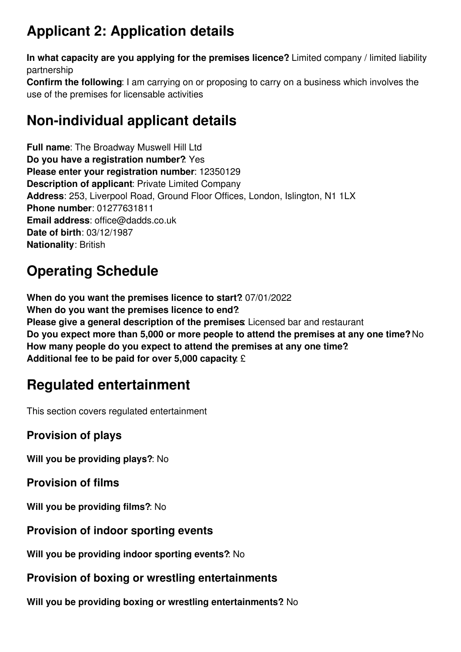# **Applicant 2: Application details**

**In what capacity are you applying for the premises licence?**: Limited company / limited liability partnership

**Confirm the following**: I am carrying on or proposing to carry on a business which involves the use of the premises for licensable activities

# **Non-individual applicant details**

**Full name**: The Broadway Muswell Hill Ltd **Do you have a registration number?**: Yes **Please enter your registration number**: 12350129 **Description of applicant**: Private Limited Company **Address**: 253, Liverpool Road, Ground Floor Offices, London, Islington, N1 1LX **Phone number**: 01277631811 **Email address**: office@dadds.co.uk **Date of birth**: 03/12/1987 **Nationality**: British

# **Operating Schedule**

**When do you want the premises licence to start?**: 07/01/2022 **When do you want the premises licence to end?**: **Please give a general description of the premises**: Licensed bar and restaurant **Do you expect more than 5,000 or more people to attend the premises at any one time?**: No **How many people do you expect to attend the premises at any one time?**: **Additional fee to be paid for over 5,000 capacity**: £

# **Regulated entertainment**

This section covers regulated entertainment

# **Provision of plays**

**Will you be providing plays?**: No

**Provision of films**

**Will you be providing films?**: No

### **Provision of indoor sporting events**

**Will you be providing indoor sporting events?**: No

## **Provision of boxing or wrestling entertainments**

**Will you be providing boxing or wrestling entertainments?**: No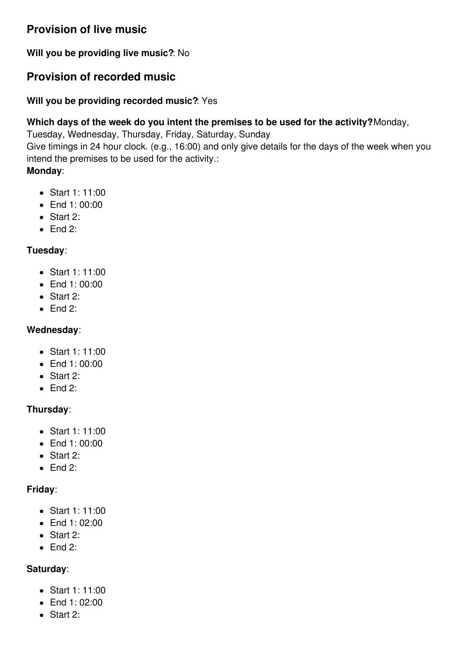# **Provision of live music**

**Will you be providing live music?**: No

## **Provision of recorded music**

#### **Will you be providing recorded music?**: Yes

#### **Which days of the week do you intent the premises to be used for the activity?**: Monday,

Tuesday, Wednesday, Thursday, Friday, Saturday, Sunday

Give timings in 24 hour clock. (e.g., 16:00) and only give details for the days of the week when you intend the premises to be used for the activity.:

#### **Monday**:

- Start 1: 11:00
- End 1: 00:00
- Start 2:
- $\bullet$  End 2:

#### **Tuesday**:

- Start 1: 11:00
- End 1: 00:00
- Start 2:
- $\bullet$  End 2:

#### **Wednesday**:

- Start 1: 11:00
- End 1:00:00
- Start 2:
- $\bullet$  End 2:

#### **Thursday**:

- Start 1: 11:00
- End 1: 00:00
- Start 2:
- $\bullet$  Fnd 2:

#### **Friday**:

- Start 1: 11:00
- $\bullet$  End 1: 02:00
- Start 2:
- $\bullet$  Fnd 2:

#### **Saturday**:

- $\bullet$  Start 1: 11:00
- End 1: 02:00
- Start 2: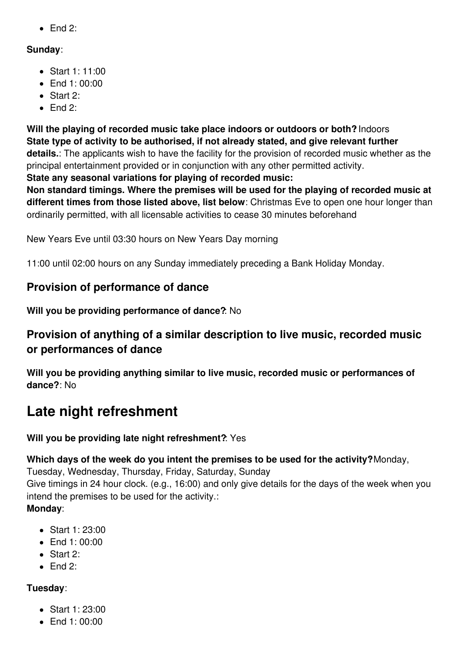$\bullet$  End 2:

#### **Sunday**:

- Start 1: 11:00
- $\bullet$  Fnd 1: 00:00
- Start 2:
- $\bullet$  Fnd 2:

**Will the playing of recorded music take place indoors or outdoors or both?**: Indoors **State type of activity to be authorised, if not already stated, and give relevant further details.**: The applicants wish to have the facility for the provision of recorded music whether as the principal entertainment provided or in conjunction with any other permitted activity.

**State any seasonal variations for playing of recorded music:**

**Non standard timings. Where the premises will be used for the playing of recorded music at different times from those listed above, list below**: Christmas Eve to open one hour longer than ordinarily permitted, with all licensable activities to cease 30 minutes beforehand

New Years Eve until 03:30 hours on New Years Day morning

11:00 until 02:00 hours on any Sunday immediately preceding a Bank Holiday Monday.

## **Provision of performance of dance**

**Will you be providing performance of dance?**: No

## **Provision of anything of a similar description to live music, recorded music or performances of dance**

**Will you be providing anything similar to live music, recorded music or performances of dance?**: No

# **Late night refreshment**

### **Will you be providing late night refreshment?**: Yes

**Which days of the week do you intent the premises to be used for the activity?**: Monday, Tuesday, Wednesday, Thursday, Friday, Saturday, Sunday Give timings in 24 hour clock. (e.g., 16:00) and only give details for the days of the week when you

intend the premises to be used for the activity.: **Monday**:

- Start 1: 23:00
- $\bullet$  Fnd 1: 00:00
- Start 2:
- $\bullet$  Fnd 2:

### **Tuesday**:

- $\bullet$  Start 1: 23:00
- $\bullet$  End 1: 00:00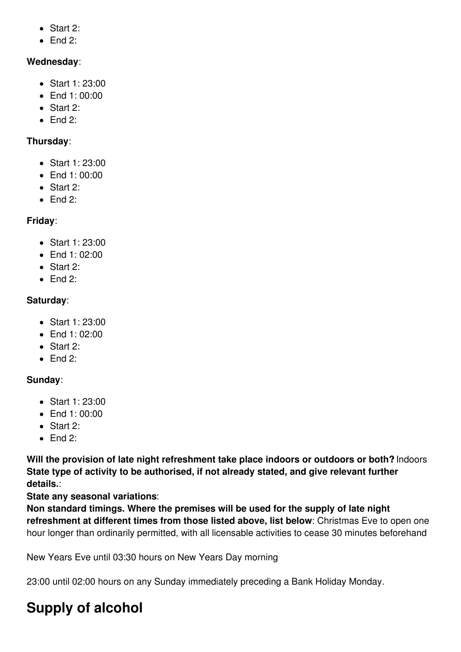- Start 2:
- $\bullet$  Fnd 2:

#### **Wednesday**:

- Start 1: 23:00
- End 1:00:00
- Start 2:
- $\bullet$  Fnd 2:

#### **Thursday**:

- Start 1: 23:00
- End 1: 00:00
- Start 2:
- $\bullet$  End 2:

#### **Friday**:

- Start 1: 23:00
- $\bullet$  Fnd 1: 02:00
- Start 2:
- $\bullet$  Fnd 2:

#### **Saturday**:

- Start 1: 23:00
- End 1: 02:00
- Start 2:
- $\bullet$  End 2:

#### **Sunday**:

- Start 1: 23:00
- $\bullet$  End 1: 00:00
- Start 2:
- $\bullet$  End 2:

**Will the provision of late night refreshment take place indoors or outdoors or both?**: Indoors **State type of activity to be authorised, if not already stated, and give relevant further details.**:

#### **State any seasonal variations**:

**Non standard timings. Where the premises will be used for the supply of late night refreshment at different times from those listed above, list below**: Christmas Eve to open one hour longer than ordinarily permitted, with all licensable activities to cease 30 minutes beforehand

New Years Eve until 03:30 hours on New Years Day morning

23:00 until 02:00 hours on any Sunday immediately preceding a Bank Holiday Monday.

# **Supply of alcohol**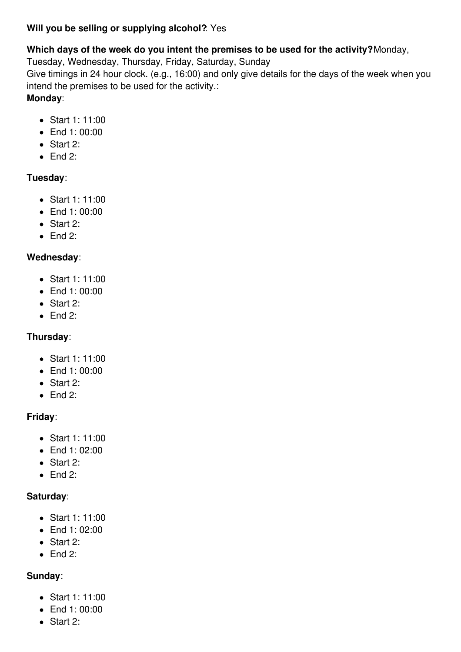#### **Will you be selling or supplying alcohol?**: Yes

#### **Which days of the week do you intent the premises to be used for the activity?**: Monday,

Tuesday, Wednesday, Thursday, Friday, Saturday, Sunday

Give timings in 24 hour clock. (e.g., 16:00) and only give details for the days of the week when you intend the premises to be used for the activity.:

### **Monday**:

- Start 1: 11:00
- End 1:00:00
- Start 2:
- $\bullet$  End 2:

### **Tuesday**:

- Start 1: 11:00
- End 1:00:00
- Start 2:
- $\bullet$  End 2:

### **Wednesday**:

- Start 1: 11:00
- End 1:00:00
- Start 2:
- $\bullet$  End 2:

### **Thursday**:

- Start 1: 11:00
- End 1: 00:00
- Start 2:
- $\bullet$  End 2:

### **Friday**:

- Start 1: 11:00
- End 1:02:00
- Start 2:
- $\bullet$  End 2:

### **Saturday**:

- Start 1: 11:00
- $\bullet$  End 1: 02:00
- Start 2:
- $\bullet$  End 2:

### **Sunday**:

- Start 1: 11:00
- End 1:00:00
- Start 2: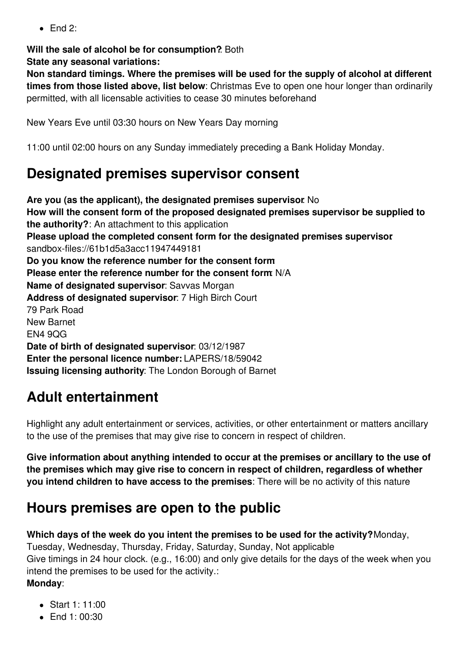$\bullet$  Fnd 2:

**Will the sale of alcohol be for consumption?**: Both **State any seasonal variations:**

**Non standard timings. Where the premises will be used for the supply of alcohol at different times from those listed above, list below**: Christmas Eve to open one hour longer than ordinarily permitted, with all licensable activities to cease 30 minutes beforehand

New Years Eve until 03:30 hours on New Years Day morning

11:00 until 02:00 hours on any Sunday immediately preceding a Bank Holiday Monday.

# **Designated premises supervisor consent**

**Are you (as the applicant), the designated premises supervisor**: No **How will the consent form of the proposed designated premises supervisor be supplied to the authority?**: An attachment to this application **Please upload the completed consent form for the designated premises supervisor**: sandbox-files://61b1d5a3acc11947449181 **Do you know the reference number for the consent form**: **Please enter the reference number for the consent form**: N/A **Name of designated supervisor**: Savvas Morgan **Address of designated supervisor**: 7 High Birch Court 79 Park Road New Barnet EN4 9QG **Date of birth of designated supervisor**: 03/12/1987 **Enter the personal licence number:** LAPERS/18/59042 **Issuing licensing authority**: The London Borough of Barnet

# **Adult entertainment**

Highlight any adult entertainment or services, activities, or other entertainment or matters ancillary to the use of the premises that may give rise to concern in respect of children.

**Give information about anything intended to occur at the premises or ancillary to the use of the premises which may give rise to concern in respect of children, regardless of whether you intend children to have access to the premises**: There will be no activity of this nature

# **Hours premises are open to the public**

**Which days of the week do you intent the premises to be used for the activity?**: Monday, Tuesday, Wednesday, Thursday, Friday, Saturday, Sunday, Not applicable Give timings in 24 hour clock. (e.g., 16:00) and only give details for the days of the week when you intend the premises to be used for the activity.: **Monday**:

- $\bullet$  Start 1: 11:00
- $\bullet$  Fnd 1: 00:30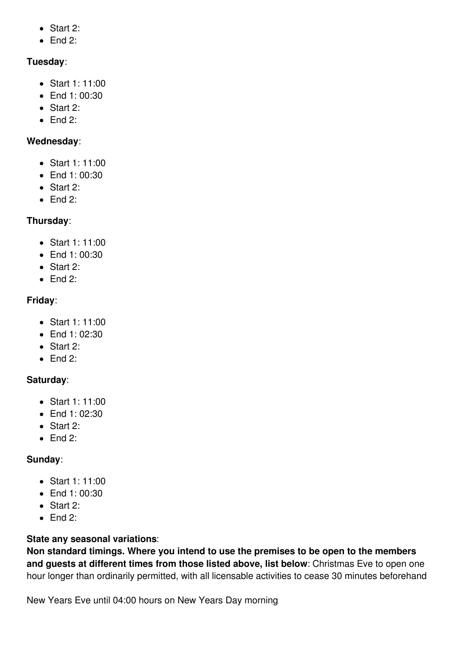- Start 2:
- $\bullet$  End 2:

### **Tuesday**:

- Start 1: 11:00
- End 1: 00:30
- Start 2:
- $\bullet$  Fnd 2:

#### **Wednesday**:

- Start 1: 11:00
- End 1: 00:30
- Start 2:
- $\bullet$  End 2:

## **Thursday**:

- Start 1: 11:00
- $\bullet$  Fnd 1: 00:30
- Start 2:
- $\bullet$  Fnd 2:

### **Friday**:

- Start 1: 11:00
- End 1: 02:30
- Start 2:
- $\bullet$  End 2:

### **Saturday**:

- Start 1: 11:00
- $\bullet$  End 1: 02:30
- Start 2:
- $\bullet$  End 2:

### **Sunday**:

- Start 1: 11:00
- End 1: 00:30
- Start 2:
- $\bullet$  Fnd  $2 \cdot$

### **State any seasonal variations**:

**Non standard timings. Where you intend to use the premises to be open to the members and guests at different times from those listed above, list below**: Christmas Eve to open one hour longer than ordinarily permitted, with all licensable activities to cease 30 minutes beforehand

New Years Eve until 04:00 hours on New Years Day morning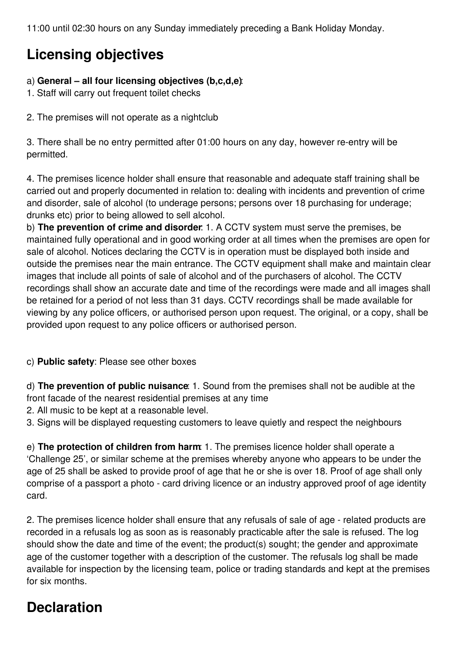11:00 until 02:30 hours on any Sunday immediately preceding a Bank Holiday Monday.

# **Licensing objectives**

#### a) **General – all four licensing objectives (b,c,d,e)**:

- 1. Staff will carry out frequent toilet checks
- 2. The premises will not operate as a nightclub

3. There shall be no entry permitted after 01:00 hours on any day, however re-entry will be permitted.

4. The premises licence holder shall ensure that reasonable and adequate staff training shall be carried out and properly documented in relation to: dealing with incidents and prevention of crime and disorder, sale of alcohol (to underage persons; persons over 18 purchasing for underage; drunks etc) prior to being allowed to sell alcohol.

b) **The prevention of crime and disorder**: 1. A CCTV system must serve the premises, be maintained fully operational and in good working order at all times when the premises are open for sale of alcohol. Notices declaring the CCTV is in operation must be displayed both inside and outside the premises near the main entrance. The CCTV equipment shall make and maintain clear images that include all points of sale of alcohol and of the purchasers of alcohol. The CCTV recordings shall show an accurate date and time of the recordings were made and all images shall be retained for a period of not less than 31 days. CCTV recordings shall be made available for viewing by any police officers, or authorised person upon request. The original, or a copy, shall be provided upon request to any police officers or authorised person.

#### c) **Public safety**: Please see other boxes

d) **The prevention of public nuisance**: 1. Sound from the premises shall not be audible at the front facade of the nearest residential premises at any time

2. All music to be kept at a reasonable level.

3. Signs will be displayed requesting customers to leave quietly and respect the neighbours

e) **The protection of children from harm**: 1. The premises licence holder shall operate a 'Challenge 25', or similar scheme at the premises whereby anyone who appears to be under the age of 25 shall be asked to provide proof of age that he or she is over 18. Proof of age shall only comprise of a passport a photo - card driving licence or an industry approved proof of age identity card.

2. The premises licence holder shall ensure that any refusals of sale of age - related products are recorded in a refusals log as soon as is reasonably practicable after the sale is refused. The log should show the date and time of the event; the product(s) sought; the gender and approximate age of the customer together with a description of the customer. The refusals log shall be made available for inspection by the licensing team, police or trading standards and kept at the premises for six months.

# **Declaration**